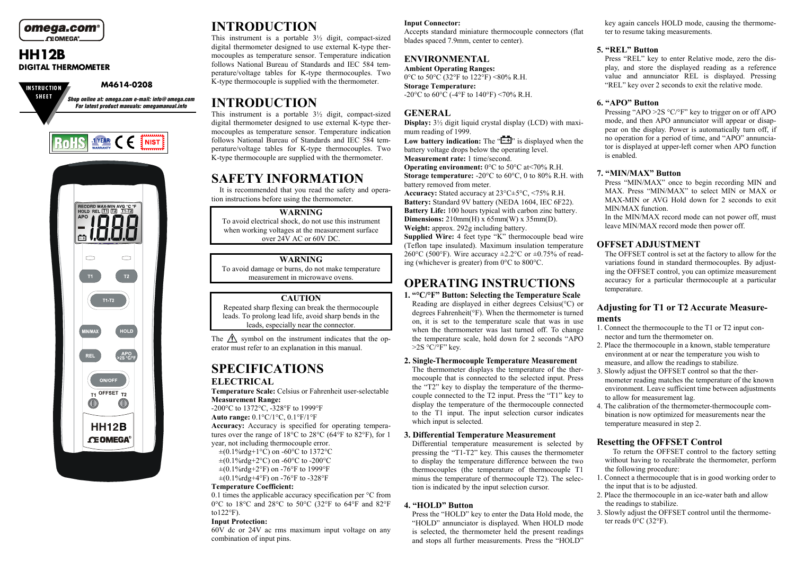

## **HH12BDIGITAL THERMOMETER**

**IN S TRU C T IO N**

**M4614-0208**



# **INTRODUCTION**

This instrument is <sup>a</sup> portable 3½ digit, compact-sized digital thermometer designed to use external K-type thermocouples as temperature sensor. Temperature indication follows National Bureau of Standards and IEC 584 temperature/voltage tables for K-type thermocouples. Two K-type thermocouple is supplied with the thermometer.

# **INTRODUCTION**

This instrument is <sup>a</sup> portable 3½ digit, compact-sized digital thermometer designed to use external K-type thermocouples as temperature sensor. Temperature indication follows National Bureau of Standards and IE C 584 temperature/voltage tables for K-type thermocouples. Two K-type thermocouple are supplied with the thermometer.

# **SAFETYINFORMATION**

It is recommended that you read the safety and operation instructions before using the thermometer.

### **WARNING**

To avoid electrical shock, do not use this instrument when working voltages at the measurement surface over 24V A C or 60V D C.

### **WARNING**

To avoid damage or burns, do not make temperature measurement in microwave ovens.

## **CAUTION**

Repeated sharp flexing can break the thermocouple leads. To prolong lead life, avoid sharp bends in the leads, especially near the connector.

The  $\sqrt{\Lambda}$  symbol on the instrument indicates that the operator must refer to an explanation in this manual.

# **SPECIFICATIONS**

## **ELECTRICAL**

**Temperature Scale:** Celsius or Fahrenheit user-selectable **Measurement Range:**

-200°C to 1372°C, -328°F to 1999°F **Auto range:** 0.1°C/1°C, 0.1°F/1°F

**Accuracy:** Accuracy is specified for operating temperatures over the range of 18°C to 28°C (64°F to 82°F), for 1 year, not including thermocouple error.

 $\pm (0.1\% \text{r} \text{d} \text{g} + 1\degree \text{C})$  on -60 $\degree$ C to 1372 $\degree$ C  $\pm (0.1\% \text{rdg} + 2\degree \text{C})$  on -60 $\degree$ C to -200 $\degree$ C  $\pm (0.1\% \text{rdg} + 2\degree \text{F})$  on -76°F to 1999°F  $\pm (0.1\% \text{rdg} + 4\degree \text{F})$  on -76°F to -328°F

#### **Temperature Coefficient:**

0.1 times the applicable accuracy specification per °C from 0°C to 18°C and 28°C to 50°C (32°F to 64°F and 82°F to $122^{\circ}$ F).

#### **Input Protection:**

60V dc or 24V ac rms maximum input voltage on any combination of input pins.

## **Input Connector:**

Accepts standard miniature thermocouple connectors (flat blades spaced 7.9m m, center to center).

## **ENVIRONMENTAL**

**Ambient Operating Ranges:** 0°C to 50°C (32°F to 122°F) <80% R.H. **Storage Temperature:** -20°C to 60°C (-4°F to 140°F) <70% R.H.

## **GENERAL**

**Display:** 3½ digit liquid crystal display (L CD) with maximum reading of 1999.

**Low battery indication:** The " $\equiv$  is displayed when the battery voltage drops below the operating level. **Measurement rate:** 1 time/second.

**Operating environment:** 0°C to 50°C at<70% R.H.**Storage temperature:** -20°C to 60°C, 0 to 80% R.H. with battery removed from meter.

**Accuracy:** Stated accuracy at 23°C±5°C, <75% R.H. Battery: Standard 9V battery (NEDA 1604, IEC 6F22). **Battery Life:** 100 hours typical with carbon zinc battery. **Dimensions:** 210mm(H) x 65mm(W) x 35mm(D). **Weight:** approx. 292g including battery.

**Supplied Wire:** 4 feet type "K" thermocouple bead wire (Teflon tape insulated). Maximum insulation temperature 260°C (500°F). Wire accuracy  $\pm 2.2$ °C or  $\pm 0.75$ % of reading (whichever is greater) from 0°C to 800°C.

# **OPERATINGINSTRUCTIONS**

**1. "°C/°F" Button: Selecting the Temperature Scale** Reading are displayed in either degrees Celsius(°C) or degrees Fahrenheit(°F). When the thermometer is turned on, it is set to the temperature scale that was in use when the thermometer was last turned off. To change the temperature scale, hold down for 2 seconds "APO >2S °C/°F" key.

### **2. Single-Thermocouple Temperature Measurement**

The thermometer displays the temperature of the thermocouple that is connected to the selected input. Press the "T2" key to display the temperature of the thermocouple connected to the T2 input. Press the "T1" key to display the temperature of the thermocouple connected to the T1 input. The input selection cursor indicates which input is selected.

### **3. Differential Temperature Measurement**

Differential temperature measurement is selected by pressing the "T1-T2" key. This causes the thermometer to display the temperature difference between the two thermocouples (the temperature of thermocouple T1 minus the temperature of thermocouple T2). The selection is indicated by the input selection cursor.

### **4. "HOLD" Button**

Press the "HOLD" key to enter the Data Hold mode, the "H O L D" annunciator is displayed. When H O L D mode is selected, the thermometer held the presen<sup>t</sup> readings and stops all further measurements. Press the "H O L D" key again cancels H OLDmode, causing the thermometer to resume taking measurements.

## **5. "REL" Button**

Press "R E L" key to enter Relative mode, zero the display, and store the displayed reading as <sup>a</sup> reference value and annunciator REL is displayed. Pressing "R E L" key over 2 seconds to exit the relative mode.

## **6. "APO" Button**

Pressing "APO >2S °C/°F" key to trigger on or off APO mode, and then APO annunciator will appear or disappear on the display. Power is automatically turn off, if no operation for <sup>a</sup> period of time, and "APO" annunciator is displayed at upper-left corner when APO function is enabled.

## **7. "MIN/MAX" Button**

Press "MIN/M A X" once to begin recording MIN and MAX. Press "MIN/MAX" to select MIN or MAX or MA X-MIN or AV G Hold down for 2 seconds to exit MIN/MAX function.

In the MIN/M A X record mode can not power off, must leave MIN/M A X record mode then power off.

## **OFFSETADJUSTMENT**

The OFFSET control is set at the factory to allow for the variations found in standard thermocouples. By adjusting the OFFSET control, you can optimize measurement accuracy for <sup>a</sup> particular thermocouple at <sup>a</sup> particular temperature.

## **A djusting for T1 or T2 Accurate Measurements**

- 1. Connect the thermocouple to the T1 or T2 input connector and turn the thermometer on.
- 2. Place the thermocouple in <sup>a</sup> known, stable temperature environment at or near the temperature you wish to measure, and allow the readings to stabilize.
- 3. Slowly adjust the OFFSET control so that the thermometer reading matches the temperature of the known environment. Leave sufficient time between adjustments to allow for measurement lag.
- 4. The calibration of the thermometer-thermocouple combination is now optimized for measurements near the temperature measured in step 2.

## **Resetting the OFFSET Control**

To return the OFFSET control to the factory setting without having to recalibrate the thermometer, perform the following procedure:

- 1. Connect a thermocouple that is in good working order to the input that is to be adjusted.
- 2. Place the thermocouple in an ice-water bath and allow the readings to stabilize.
- 3. Slowly adjust the OFFSET control until the thermometer reads 0°C (32°F).